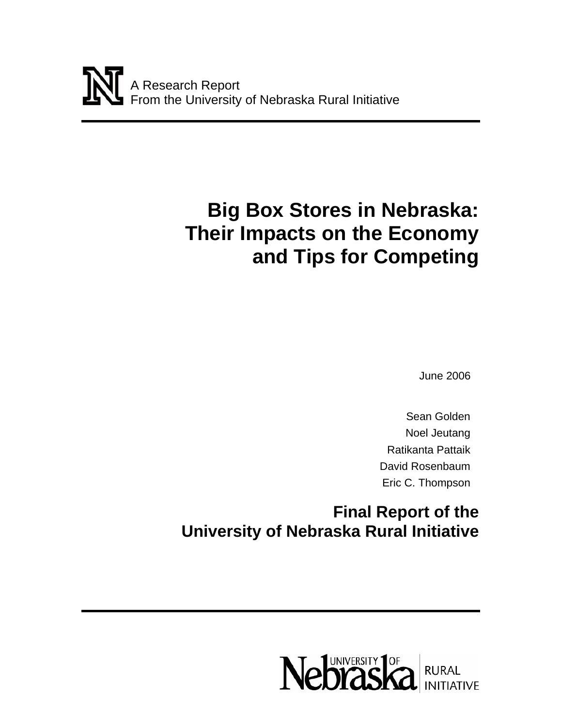# **Big Box Stores in Nebraska: Their Impacts on the Economy and Tips for Competing**

June 2006

Sean Golden Noel Jeutang Ratikanta Pattaik David Rosenbaum Eric C. Thompson

**Final Report of the University of Nebraska Rural Initiative** 

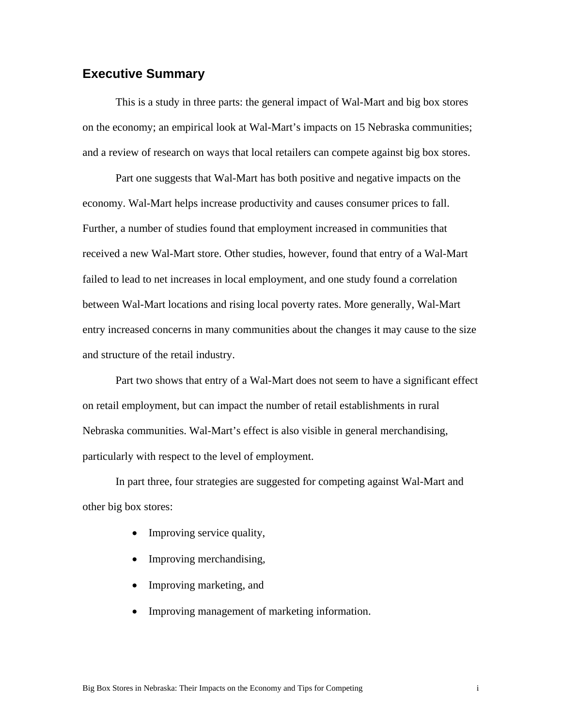# **Executive Summary**

This is a study in three parts: the general impact of Wal-Mart and big box stores on the economy; an empirical look at Wal-Mart's impacts on 15 Nebraska communities; and a review of research on ways that local retailers can compete against big box stores.

Part one suggests that Wal-Mart has both positive and negative impacts on the economy. Wal-Mart helps increase productivity and causes consumer prices to fall. Further, a number of studies found that employment increased in communities that received a new Wal-Mart store. Other studies, however, found that entry of a Wal-Mart failed to lead to net increases in local employment, and one study found a correlation between Wal-Mart locations and rising local poverty rates. More generally, Wal-Mart entry increased concerns in many communities about the changes it may cause to the size and structure of the retail industry.

Part two shows that entry of a Wal-Mart does not seem to have a significant effect on retail employment, but can impact the number of retail establishments in rural Nebraska communities. Wal-Mart's effect is also visible in general merchandising, particularly with respect to the level of employment.

In part three, four strategies are suggested for competing against Wal-Mart and other big box stores:

- Improving service quality,
- Improving merchandising,
- Improving marketing, and
- Improving management of marketing information.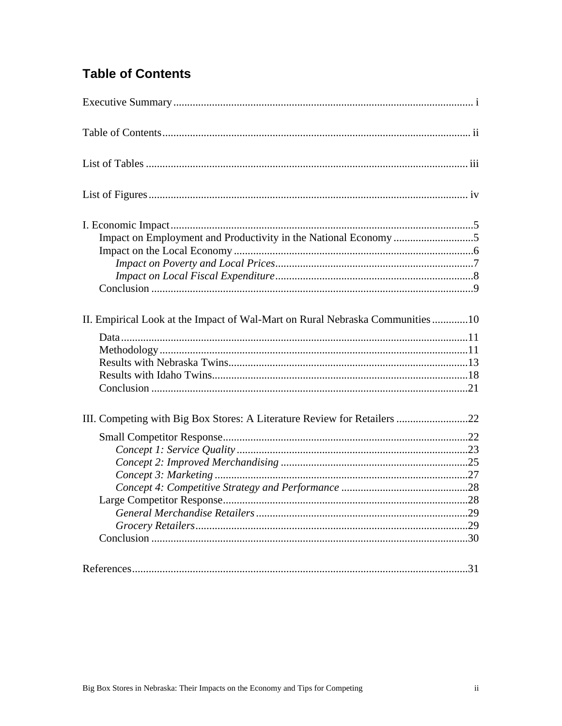# **Table of Contents**

| II. Empirical Look at the Impact of Wal-Mart on Rural Nebraska Communities10 |  |
|------------------------------------------------------------------------------|--|
| III. Competing with Big Box Stores: A Literature Review for Retailers 22     |  |
|                                                                              |  |
|                                                                              |  |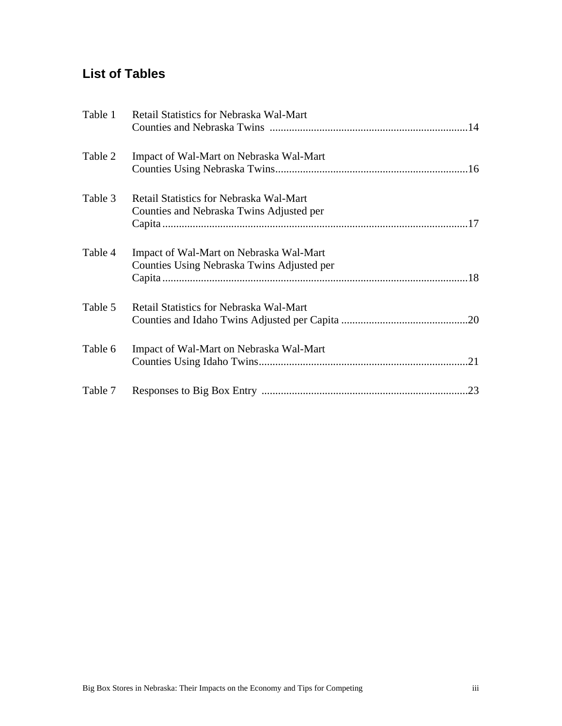# **List of Tables**

| Table 1 | Retail Statistics for Nebraska Wal-Mart                                               |
|---------|---------------------------------------------------------------------------------------|
| Table 2 | Impact of Wal-Mart on Nebraska Wal-Mart                                               |
| Table 3 | Retail Statistics for Nebraska Wal-Mart<br>Counties and Nebraska Twins Adjusted per   |
| Table 4 | Impact of Wal-Mart on Nebraska Wal-Mart<br>Counties Using Nebraska Twins Adjusted per |
| Table 5 | Retail Statistics for Nebraska Wal-Mart                                               |
| Table 6 | Impact of Wal-Mart on Nebraska Wal-Mart                                               |
| Table 7 |                                                                                       |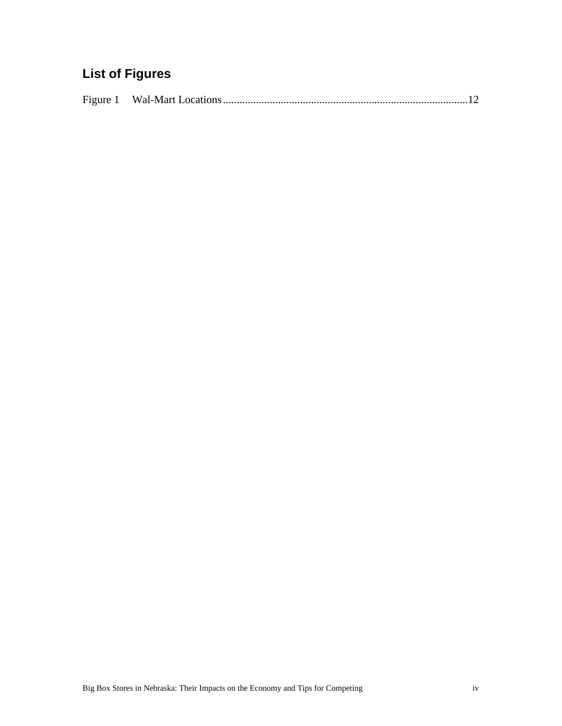# **List of Figures**

|--|--|--|--|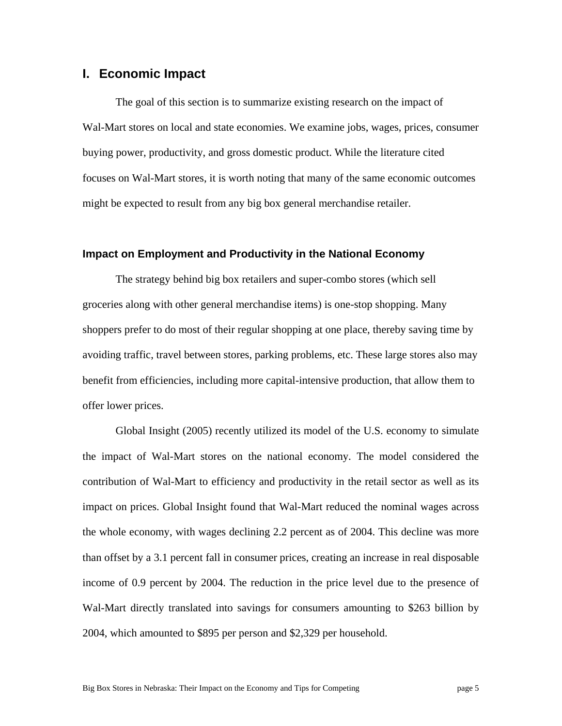## **I. Economic Impact**

The goal of this section is to summarize existing research on the impact of Wal-Mart stores on local and state economies. We examine jobs, wages, prices, consumer buying power, productivity, and gross domestic product. While the literature cited focuses on Wal-Mart stores, it is worth noting that many of the same economic outcomes might be expected to result from any big box general merchandise retailer.

#### **Impact on Employment and Productivity in the National Economy**

The strategy behind big box retailers and super-combo stores (which sell groceries along with other general merchandise items) is one-stop shopping. Many shoppers prefer to do most of their regular shopping at one place, thereby saving time by avoiding traffic, travel between stores, parking problems, etc. These large stores also may benefit from efficiencies, including more capital-intensive production, that allow them to offer lower prices.

Global Insight (2005) recently utilized its model of the U.S. economy to simulate the impact of Wal-Mart stores on the national economy. The model considered the contribution of Wal-Mart to efficiency and productivity in the retail sector as well as its impact on prices. Global Insight found that Wal-Mart reduced the nominal wages across the whole economy, with wages declining 2.2 percent as of 2004. This decline was more than offset by a 3.1 percent fall in consumer prices, creating an increase in real disposable income of 0.9 percent by 2004. The reduction in the price level due to the presence of Wal-Mart directly translated into savings for consumers amounting to \$263 billion by 2004, which amounted to \$895 per person and \$2,329 per household.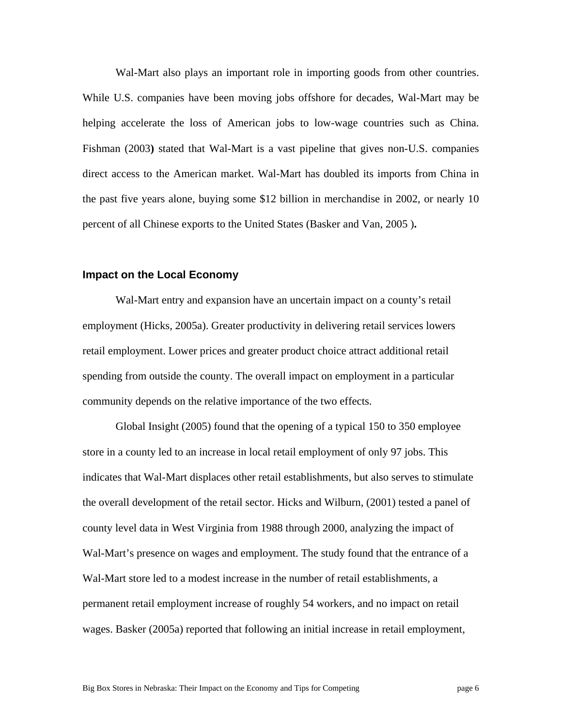Wal-Mart also plays an important role in importing goods from other countries. While U.S. companies have been moving jobs offshore for decades, Wal-Mart may be helping accelerate the loss of American jobs to low-wage countries such as China. Fishman (2003**)** stated that Wal-Mart is a vast pipeline that gives non-U.S. companies direct access to the American market. Wal-Mart has doubled its imports from China in the past five years alone, buying some \$12 billion in merchandise in 2002, or nearly 10 percent of all Chinese exports to the United States (Basker and Van, 2005 )**.**

#### **Impact on the Local Economy**

Wal-Mart entry and expansion have an uncertain impact on a county's retail employment (Hicks, 2005a). Greater productivity in delivering retail services lowers retail employment. Lower prices and greater product choice attract additional retail spending from outside the county. The overall impact on employment in a particular community depends on the relative importance of the two effects.

Global Insight (2005) found that the opening of a typical 150 to 350 employee store in a county led to an increase in local retail employment of only 97 jobs. This indicates that Wal-Mart displaces other retail establishments, but also serves to stimulate the overall development of the retail sector. Hicks and Wilburn, (2001) tested a panel of county level data in West Virginia from 1988 through 2000, analyzing the impact of Wal-Mart's presence on wages and employment. The study found that the entrance of a Wal-Mart store led to a modest increase in the number of retail establishments, a permanent retail employment increase of roughly 54 workers, and no impact on retail wages. Basker (2005a) reported that following an initial increase in retail employment,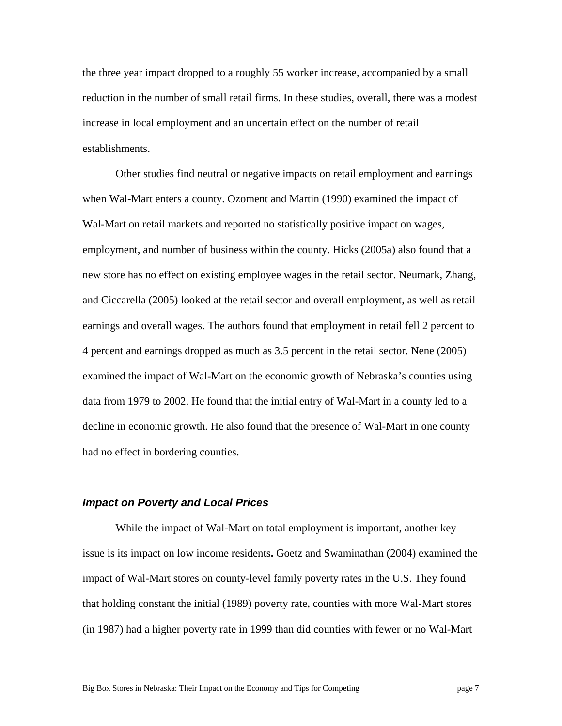the three year impact dropped to a roughly 55 worker increase, accompanied by a small reduction in the number of small retail firms. In these studies, overall, there was a modest increase in local employment and an uncertain effect on the number of retail establishments.

Other studies find neutral or negative impacts on retail employment and earnings when Wal-Mart enters a county. Ozoment and Martin (1990) examined the impact of Wal-Mart on retail markets and reported no statistically positive impact on wages, employment, and number of business within the county. Hicks (2005a) also found that a new store has no effect on existing employee wages in the retail sector. Neumark, Zhang, and Ciccarella (2005) looked at the retail sector and overall employment, as well as retail earnings and overall wages. The authors found that employment in retail fell 2 percent to 4 percent and earnings dropped as much as 3.5 percent in the retail sector. Nene (2005) examined the impact of Wal-Mart on the economic growth of Nebraska's counties using data from 1979 to 2002. He found that the initial entry of Wal-Mart in a county led to a decline in economic growth. He also found that the presence of Wal-Mart in one county had no effect in bordering counties.

#### *Impact on Poverty and Local Prices*

While the impact of Wal-Mart on total employment is important, another key issue is its impact on low income residents**.** Goetz and Swaminathan (2004) examined the impact of Wal-Mart stores on county-level family poverty rates in the U.S. They found that holding constant the initial (1989) poverty rate, counties with more Wal-Mart stores (in 1987) had a higher poverty rate in 1999 than did counties with fewer or no Wal-Mart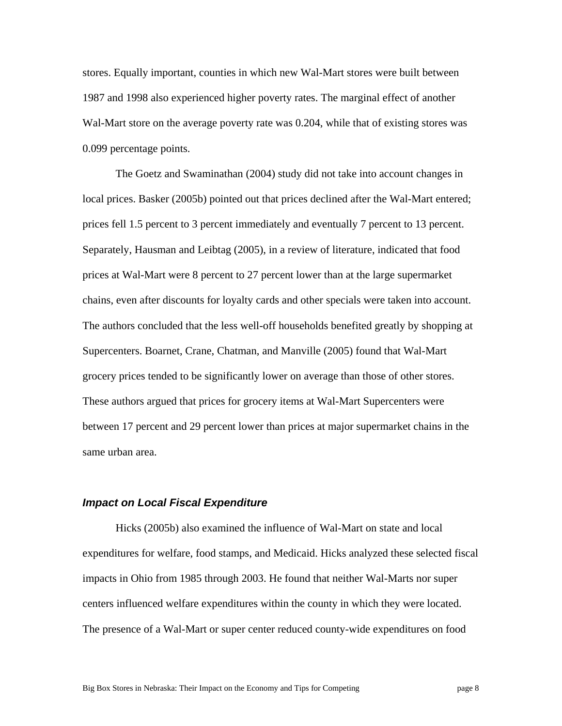stores. Equally important, counties in which new Wal-Mart stores were built between 1987 and 1998 also experienced higher poverty rates. The marginal effect of another Wal-Mart store on the average poverty rate was 0.204, while that of existing stores was 0.099 percentage points.

The Goetz and Swaminathan (2004) study did not take into account changes in local prices. Basker (2005b) pointed out that prices declined after the Wal-Mart entered; prices fell 1.5 percent to 3 percent immediately and eventually 7 percent to 13 percent. Separately, Hausman and Leibtag (2005), in a review of literature, indicated that food prices at Wal-Mart were 8 percent to 27 percent lower than at the large supermarket chains, even after discounts for loyalty cards and other specials were taken into account. The authors concluded that the less well-off households benefited greatly by shopping at Supercenters. Boarnet, Crane, Chatman, and Manville (2005) found that Wal-Mart grocery prices tended to be significantly lower on average than those of other stores. These authors argued that prices for grocery items at Wal-Mart Supercenters were between 17 percent and 29 percent lower than prices at major supermarket chains in the same urban area.

#### *Impact on Local Fiscal Expenditure*

Hicks (2005b) also examined the influence of Wal-Mart on state and local expenditures for welfare, food stamps, and Medicaid. Hicks analyzed these selected fiscal impacts in Ohio from 1985 through 2003. He found that neither Wal-Marts nor super centers influenced welfare expenditures within the county in which they were located. The presence of a Wal-Mart or super center reduced county-wide expenditures on food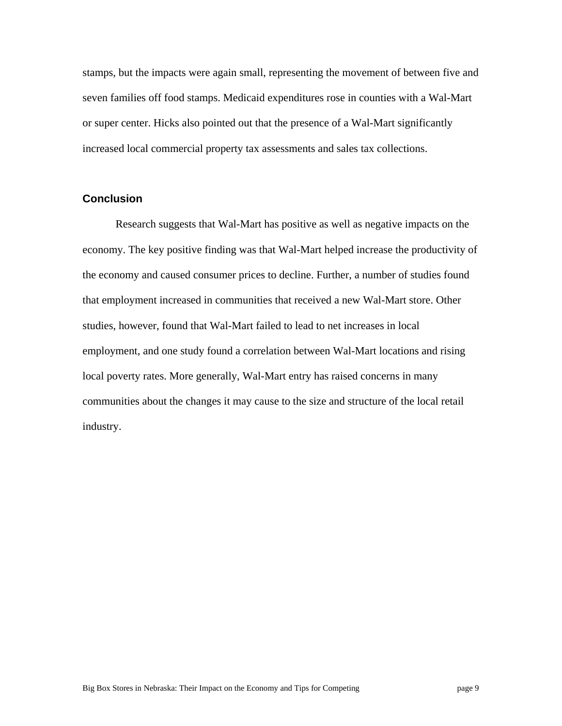stamps, but the impacts were again small, representing the movement of between five and seven families off food stamps. Medicaid expenditures rose in counties with a Wal-Mart or super center. Hicks also pointed out that the presence of a Wal-Mart significantly increased local commercial property tax assessments and sales tax collections.

#### **Conclusion**

Research suggests that Wal-Mart has positive as well as negative impacts on the economy. The key positive finding was that Wal-Mart helped increase the productivity of the economy and caused consumer prices to decline. Further, a number of studies found that employment increased in communities that received a new Wal-Mart store. Other studies, however, found that Wal-Mart failed to lead to net increases in local employment, and one study found a correlation between Wal-Mart locations and rising local poverty rates. More generally, Wal-Mart entry has raised concerns in many communities about the changes it may cause to the size and structure of the local retail industry.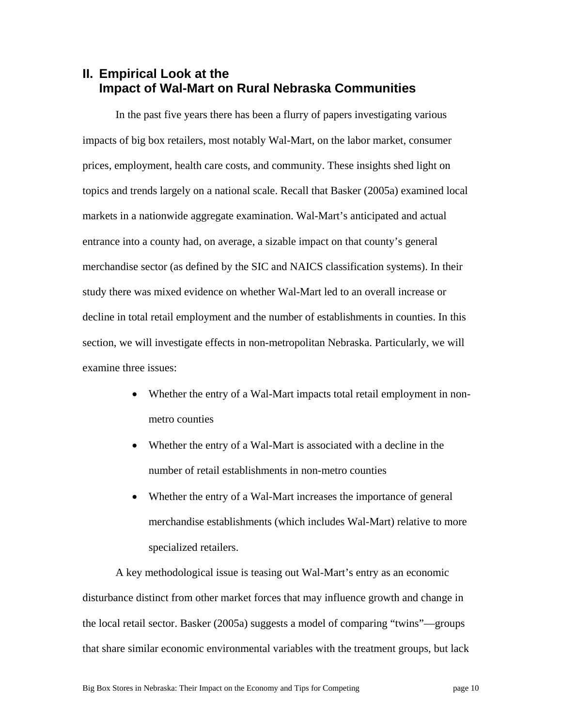# **II. Empirical Look at the Impact of Wal-Mart on Rural Nebraska Communities**

In the past five years there has been a flurry of papers investigating various impacts of big box retailers, most notably Wal-Mart, on the labor market, consumer prices, employment, health care costs, and community. These insights shed light on topics and trends largely on a national scale. Recall that Basker (2005a) examined local markets in a nationwide aggregate examination. Wal-Mart's anticipated and actual entrance into a county had, on average, a sizable impact on that county's general merchandise sector (as defined by the SIC and NAICS classification systems). In their study there was mixed evidence on whether Wal-Mart led to an overall increase or decline in total retail employment and the number of establishments in counties. In this section, we will investigate effects in non-metropolitan Nebraska. Particularly, we will examine three issues:

- Whether the entry of a Wal-Mart impacts total retail employment in nonmetro counties
- Whether the entry of a Wal-Mart is associated with a decline in the number of retail establishments in non-metro counties
- Whether the entry of a Wal-Mart increases the importance of general merchandise establishments (which includes Wal-Mart) relative to more specialized retailers.

A key methodological issue is teasing out Wal-Mart's entry as an economic disturbance distinct from other market forces that may influence growth and change in the local retail sector. Basker (2005a) suggests a model of comparing "twins"—groups that share similar economic environmental variables with the treatment groups, but lack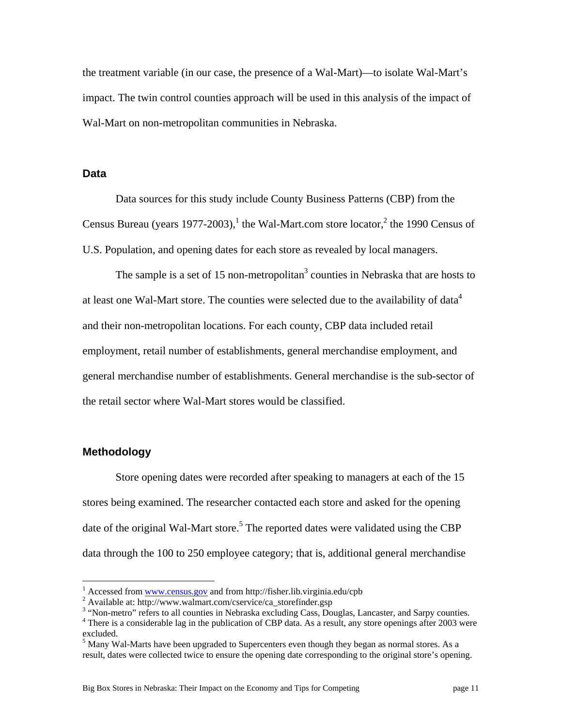the treatment variable (in our case, the presence of a Wal-Mart)—to isolate Wal-Mart's impact. The twin control counties approach will be used in this analysis of the impact of Wal-Mart on non-metropolitan communities in Nebraska.

#### **Data**

Data sources for this study include County Business Patterns (CBP) from the Census Bureau (years 1977-2003),<sup>1</sup> the Wal-Mart.com store locator,<sup>2</sup> the 1990 Census of U.S. Population, and opening dates for each store as revealed by local managers.

The sample is a set of 15 non-metropolitan<sup>3</sup> counties in Nebraska that are hosts to at least one Wal-Mart store. The counties were selected due to the availability of data<sup>4</sup> and their non-metropolitan locations. For each county, CBP data included retail employment, retail number of establishments, general merchandise employment, and general merchandise number of establishments. General merchandise is the sub-sector of the retail sector where Wal-Mart stores would be classified.

#### **Methodology**

 $\overline{a}$ 

Store opening dates were recorded after speaking to managers at each of the 15 stores being examined. The researcher contacted each store and asked for the opening date of the original Wal-Mart store.<sup>5</sup> The reported dates were validated using the CBP data through the 100 to 250 employee category; that is, additional general merchandise

<sup>&</sup>lt;sup>1</sup> Accessed from <u>www.census.gov</u> and from http://fisher.lib.virginia.edu/cpb  $\frac{2}{3}$  Available at http://www.welmert.com/eservise/se.storafinder.gop

Available at: http://www.walmart.com/cservice/ca\_storefinder.gsp

<sup>&</sup>lt;sup>3</sup> "Non-metro" refers to all counties in Nebraska excluding Cass, Douglas, Lancaster, and Sarpy counties.<br><sup>4</sup> There is a considerable lag in the publication of CBB data. As a result, any stere enonings ofter 2003 was

<sup>&</sup>lt;sup>4</sup> There is a considerable lag in the publication of CBP data. As a result, any store openings after 2003 were excluded.

 $<sup>5</sup>$  Many Wal-Marts have been upgraded to Supercenters even though they began as normal stores. As a</sup> result, dates were collected twice to ensure the opening date corresponding to the original store's opening.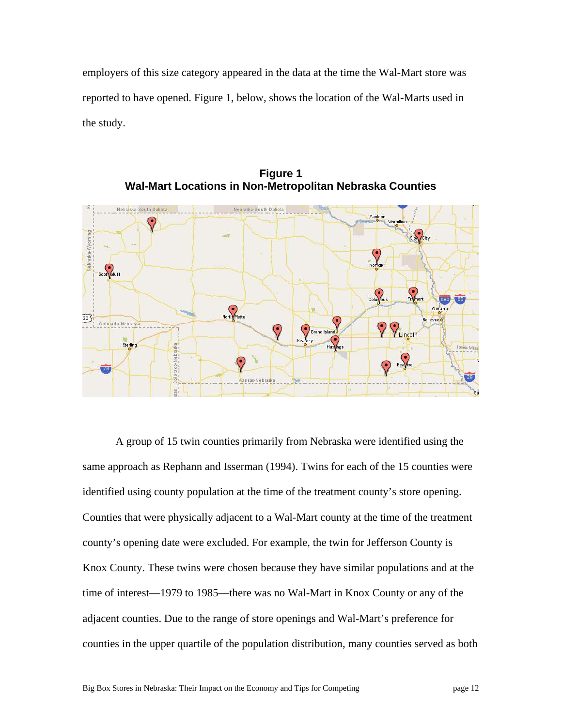employers of this size category appeared in the data at the time the Wal-Mart store was reported to have opened. Figure 1, below, shows the location of the Wal-Marts used in the study.



**Figure 1 Wal-Mart Locations in Non-Metropolitan Nebraska Counties** 

A group of 15 twin counties primarily from Nebraska were identified using the same approach as Rephann and Isserman (1994). Twins for each of the 15 counties were identified using county population at the time of the treatment county's store opening. Counties that were physically adjacent to a Wal-Mart county at the time of the treatment county's opening date were excluded. For example, the twin for Jefferson County is Knox County. These twins were chosen because they have similar populations and at the time of interest—1979 to 1985—there was no Wal-Mart in Knox County or any of the adjacent counties. Due to the range of store openings and Wal-Mart's preference for counties in the upper quartile of the population distribution, many counties served as both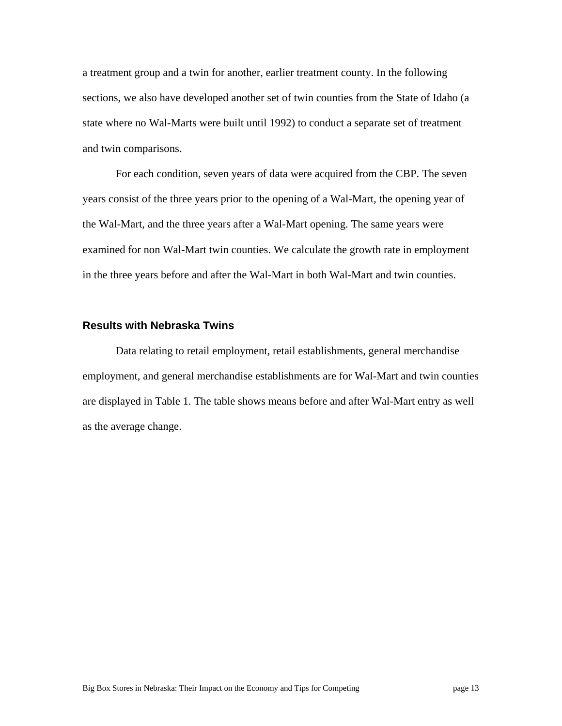a treatment group and a twin for another, earlier treatment county. In the following sections, we also have developed another set of twin counties from the State of Idaho (a state where no Wal-Marts were built until 1992) to conduct a separate set of treatment and twin comparisons.

For each condition, seven years of data were acquired from the CBP. The seven years consist of the three years prior to the opening of a Wal-Mart, the opening year of the Wal-Mart, and the three years after a Wal-Mart opening. The same years were examined for non Wal-Mart twin counties. We calculate the growth rate in employment in the three years before and after the Wal-Mart in both Wal-Mart and twin counties.

#### **Results with Nebraska Twins**

Data relating to retail employment, retail establishments, general merchandise employment, and general merchandise establishments are for Wal-Mart and twin counties are displayed in Table 1. The table shows means before and after Wal-Mart entry as well as the average change.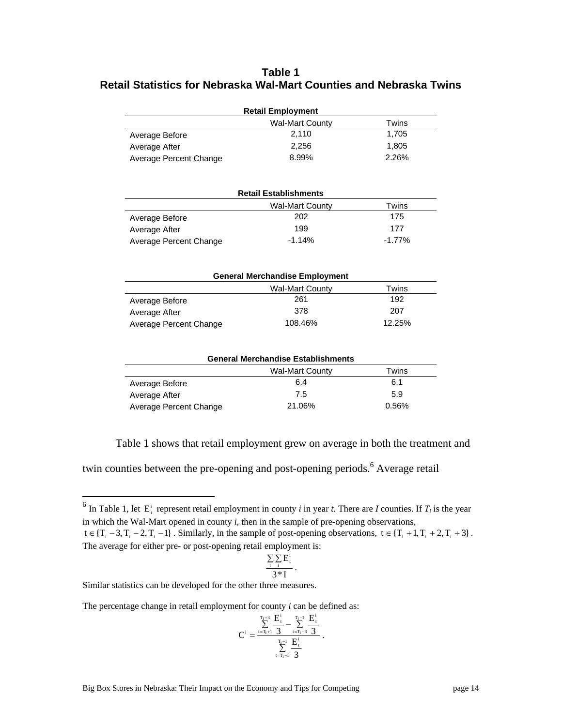### **Table 1 Retail Statistics for Nebraska Wal-Mart Counties and Nebraska Twins**

| <b>Retail Employment</b> |                                       |          |  |  |
|--------------------------|---------------------------------------|----------|--|--|
|                          | <b>Wal-Mart County</b>                | Twins    |  |  |
| Average Before           | 2,110                                 | 1,705    |  |  |
| Average After            | 2,256                                 | 1,805    |  |  |
| Average Percent Change   | 8.99%                                 | 2.26%    |  |  |
|                          | <b>Retail Establishments</b>          |          |  |  |
|                          | <b>Wal-Mart County</b>                | Twins    |  |  |
| Average Before           | 202                                   | 175      |  |  |
| Average After            | 199                                   | 177      |  |  |
| Average Percent Change   | $-1.14%$                              | $-1.77%$ |  |  |
|                          | <b>General Merchandise Employment</b> |          |  |  |
|                          |                                       | Twins    |  |  |
|                          | <b>Wal-Mart County</b><br>261         | 192      |  |  |
| Average Before           | 378                                   | 207      |  |  |
| Average After            |                                       |          |  |  |
| Average Percent Change   | 108.46%                               | 12.25%   |  |  |

| <b>General Merchandise Establishments</b> |                        |       |  |  |  |
|-------------------------------------------|------------------------|-------|--|--|--|
|                                           | <b>Wal-Mart County</b> | Twins |  |  |  |
| Average Before                            | 6.4                    | 6.1   |  |  |  |
| Average After                             | 7.5                    | 5.9   |  |  |  |

Average Percent Change 21.06% 21.06%

Table 1 shows that retail employment grew on average in both the treatment and

twin counties between the pre-opening and post-opening periods.<sup>6</sup> Average retail

$$
\frac{\sum\limits_{t} \sum\limits_{i} E^{i}_{t}}{3*I}.
$$

Similar statistics can be developed for the other three measures.

 $\overline{a}$ 

The percentage change in retail employment for county *i* can be defined as:

$$
C^i=\frac{\sum\limits_{t=T_i+1}^{T_i+3}\frac{E^i_t}{3}-\sum\limits_{t=T_i-3}^{T_i-1}\frac{E^i_t}{3}}{\sum\limits_{t=T_i-3}^{T_i-1}\frac{E^i_t}{3}}\,.
$$

<sup>&</sup>lt;sup>6</sup> In Table 1, let  $E_t^i$  represent retail employment in county *i* in year *t*. There are *I* counties. If  $T_i$  is the year in which the Wal-Mart opened in county *i*, then in the sample of pre-opening observations,  $t \in \{T_1 - 3, T_1 - 2, T_1 - 1\}$ . Similarly, in the sample of post-opening observations,  $t \in \{T_1 + 1, T_1 + 2, T_1 + 3\}$ . The average for either pre- or post-opening retail employment is: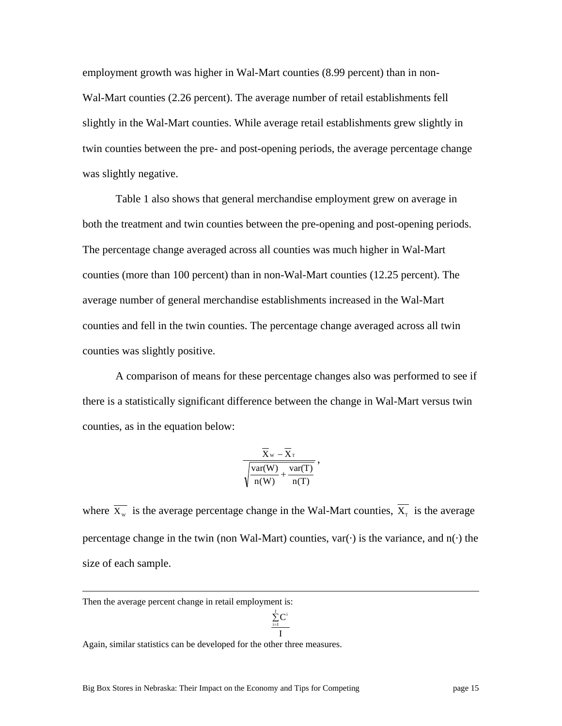employment growth was higher in Wal-Mart counties (8.99 percent) than in non-Wal-Mart counties (2.26 percent). The average number of retail establishments fell slightly in the Wal-Mart counties. While average retail establishments grew slightly in twin counties between the pre- and post-opening periods, the average percentage change was slightly negative.

Table 1 also shows that general merchandise employment grew on average in both the treatment and twin counties between the pre-opening and post-opening periods. The percentage change averaged across all counties was much higher in Wal-Mart counties (more than 100 percent) than in non-Wal-Mart counties (12.25 percent). The average number of general merchandise establishments increased in the Wal-Mart counties and fell in the twin counties. The percentage change averaged across all twin counties was slightly positive.

A comparison of means for these percentage changes also was performed to see if there is a statistically significant difference between the change in Wal-Mart versus twin counties, as in the equation below:

$$
\frac{\overline{\overline{X}}_w - \overline{\overline{X}}_T}{\sqrt{\frac{var(W)}{n(W)} + \frac{var(T)}{n(T)}}},
$$

where  $\overline{X_w}$  is the average percentage change in the Wal-Mart counties,  $\overline{X_r}$  is the average percentage change in the twin (non Wal-Mart) counties,  $var(\cdot)$  is the variance, and  $n(\cdot)$  the size of each sample.

Then the average percent change in retail employment is:

$$
\frac{\sum\limits_{\rm i=l}^{I}C^{\rm i}}{\rm I}
$$

Again, similar statistics can be developed for the other three measures.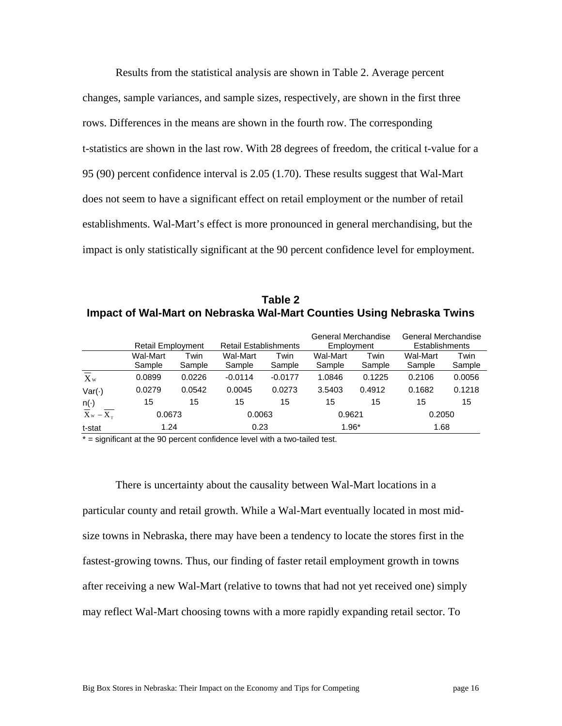Results from the statistical analysis are shown in Table 2. Average percent changes, sample variances, and sample sizes, respectively, are shown in the first three rows. Differences in the means are shown in the fourth row. The corresponding t-statistics are shown in the last row. With 28 degrees of freedom, the critical t-value for a 95 (90) percent confidence interval is 2.05 (1.70). These results suggest that Wal-Mart does not seem to have a significant effect on retail employment or the number of retail establishments. Wal-Mart's effect is more pronounced in general merchandising, but the impact is only statistically significant at the 90 percent confidence level for employment.

**Table 2 Impact of Wal-Mart on Nebraska Wal-Mart Counties Using Nebraska Twins** 

|                                          |                          |                |                              |                | General Merchandise |                | General Merchandise |                |
|------------------------------------------|--------------------------|----------------|------------------------------|----------------|---------------------|----------------|---------------------|----------------|
|                                          | <b>Retail Employment</b> |                | <b>Retail Establishments</b> |                | Employment          |                | Establishments      |                |
|                                          | Wal-Mart<br>Sample       | Twin<br>Sample | Wal-Mart<br>Sample           | Twin<br>Sample | Wal-Mart<br>Sample  | Twin<br>Sample | Wal-Mart<br>Sample  | Twin<br>Sample |
| $X_{W}$                                  | 0.0899                   | 0.0226         | $-0.0114$                    | $-0.0177$      | 1.0846              | 0.1225         | 0.2106              | 0.0056         |
| $Var(\cdot)$                             | 0.0279                   | 0.0542         | 0.0045                       | 0.0273         | 3.5403              | 0.4912         | 0.1682              | 0.1218         |
| $n(\cdot)$                               | 15                       | 15             | 15                           | 15             | 15                  | 15             | 15                  | 15             |
| $\overline{X}$ w – $\overline{X_{\tau}}$ | 0.0673                   |                | 0.0063                       |                | 0.9621              |                | 0.2050              |                |
| t-stat                                   | 1.24                     |                | 0.23                         |                | $1.96*$             |                | 1.68                |                |

\* = significant at the 90 percent confidence level with a two-tailed test.

There is uncertainty about the causality between Wal-Mart locations in a particular county and retail growth. While a Wal-Mart eventually located in most midsize towns in Nebraska, there may have been a tendency to locate the stores first in the fastest-growing towns. Thus, our finding of faster retail employment growth in towns after receiving a new Wal-Mart (relative to towns that had not yet received one) simply may reflect Wal-Mart choosing towns with a more rapidly expanding retail sector. To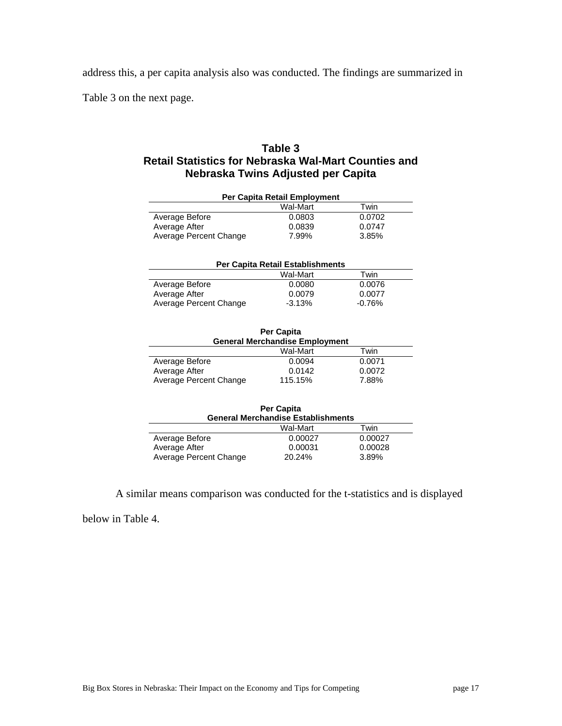address this, a per capita analysis also was conducted. The findings are summarized in

Table 3 on the next page.

### **Table 3 Retail Statistics for Nebraska Wal-Mart Counties and Nebraska Twins Adjusted per Capita**

| Per Capita Retail Employment |          |        |  |  |  |
|------------------------------|----------|--------|--|--|--|
|                              | Wal-Mart | Twin   |  |  |  |
| Average Before               | 0.0803   | 0.0702 |  |  |  |
| Average After                | 0.0839   | 0.0747 |  |  |  |
| Average Percent Change       | 7.99%    | 3.85%  |  |  |  |
|                              |          |        |  |  |  |

| Per Capita Retail Establishments |          |          |  |  |  |
|----------------------------------|----------|----------|--|--|--|
|                                  | Wal-Mart | Twin     |  |  |  |
| Average Before                   | 0.0080   | 0.0076   |  |  |  |
| Average After                    | 0.0079   | 0.0077   |  |  |  |
| Average Percent Change           | $-3.13%$ | $-0.76%$ |  |  |  |

| <b>Per Capita</b><br><b>General Merchandise Employment</b> |          |        |  |  |
|------------------------------------------------------------|----------|--------|--|--|
|                                                            | Wal-Mart | Twin   |  |  |
| Average Before                                             | 0.0094   | 0.0071 |  |  |
| Average After                                              | 0.0142   | 0.0072 |  |  |
| Average Percent Change                                     | 115.15%  | 7.88%  |  |  |

| <b>Per Capita</b>                         |          |         |  |  |  |
|-------------------------------------------|----------|---------|--|--|--|
| <b>General Merchandise Establishments</b> |          |         |  |  |  |
|                                           | Wal-Mart | Twin    |  |  |  |
| Average Before                            | 0.00027  | 0.00027 |  |  |  |
| Average After                             | 0.00031  | 0.00028 |  |  |  |
| Average Percent Change                    | 20.24%   | 3.89%   |  |  |  |

A similar means comparison was conducted for the t-statistics and is displayed

below in Table 4.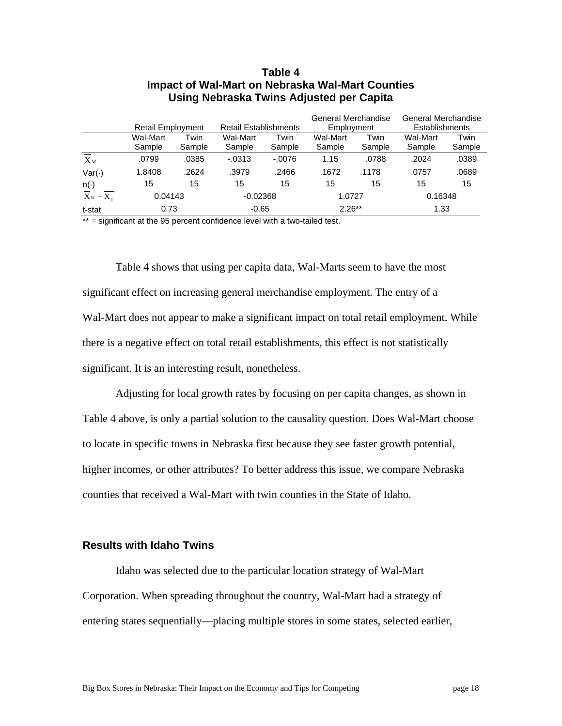| Using Nebraska Twins Adjusted per Capita |                          |                |                              |                |                                   |                |                                              |                |
|------------------------------------------|--------------------------|----------------|------------------------------|----------------|-----------------------------------|----------------|----------------------------------------------|----------------|
|                                          | <b>Retail Employment</b> |                | <b>Retail Establishments</b> |                | General Merchandise<br>Employment |                | <b>General Merchandise</b><br>Establishments |                |
|                                          | Wal-Mart<br>Sample       | Twin<br>Sample | Wal-Mart<br>Sample           | Twin<br>Sample | Wal-Mart<br>Sample                | Twin<br>Sample | Wal-Mart<br>Sample                           | Twin<br>Sample |
| $\overline{\overline{X}}_w$              | .0799                    | .0385          | $-0.0313$                    | $-.0076$       | 1.15                              | .0788          | .2024                                        | .0389          |
| $Var(\cdot)$                             | 1.8408                   | .2624          | .3979                        | .2466          | .1672                             | .1178          | .0757                                        | .0689          |
| n(·)                                     | 15                       | 15             | 15                           | 15             | 15                                | 15             | 15                                           | 15             |
| $\overline{X}_{w} - \overline{X_{r}}$    | 0.04143                  |                | $-0.02368$                   |                | 1.0727                            |                | 0.16348                                      |                |
| t-stat                                   | 0.73                     |                | $-0.65$                      |                | $2.26***$                         |                | 1.33                                         |                |

# **Table 4 Impact of Wal-Mart on Nebraska Wal-Mart Counties**

 $**$  = significant at the 95 percent confidence level with a two-tailed test.

Table 4 shows that using per capita data, Wal-Marts seem to have the most significant effect on increasing general merchandise employment. The entry of a Wal-Mart does not appear to make a significant impact on total retail employment. While there is a negative effect on total retail establishments, this effect is not statistically significant. It is an interesting result, nonetheless.

Adjusting for local growth rates by focusing on per capita changes, as shown in Table 4 above, is only a partial solution to the causality question. Does Wal-Mart choose to locate in specific towns in Nebraska first because they see faster growth potential, higher incomes, or other attributes? To better address this issue, we compare Nebraska counties that received a Wal-Mart with twin counties in the State of Idaho.

#### **Results with Idaho Twins**

Idaho was selected due to the particular location strategy of Wal-Mart Corporation. When spreading throughout the country, Wal-Mart had a strategy of entering states sequentially—placing multiple stores in some states, selected earlier,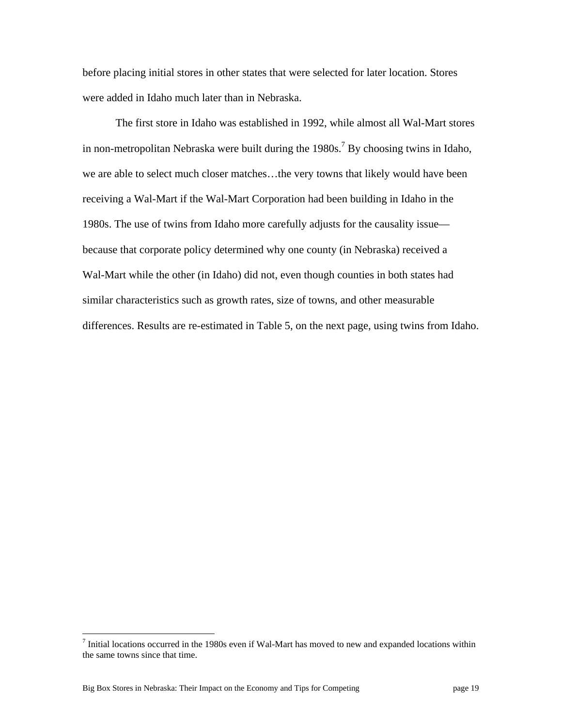before placing initial stores in other states that were selected for later location. Stores were added in Idaho much later than in Nebraska.

The first store in Idaho was established in 1992, while almost all Wal-Mart stores in non-metropolitan Nebraska were built during the  $1980s$ .<sup>7</sup> By choosing twins in Idaho, we are able to select much closer matches…the very towns that likely would have been receiving a Wal-Mart if the Wal-Mart Corporation had been building in Idaho in the 1980s. The use of twins from Idaho more carefully adjusts for the causality issue because that corporate policy determined why one county (in Nebraska) received a Wal-Mart while the other (in Idaho) did not, even though counties in both states had similar characteristics such as growth rates, size of towns, and other measurable differences. Results are re-estimated in Table 5, on the next page, using twins from Idaho.

Thitial locations occurred in the 1980s even if Wal-Mart has moved to new and expanded locations within the same towns since that time.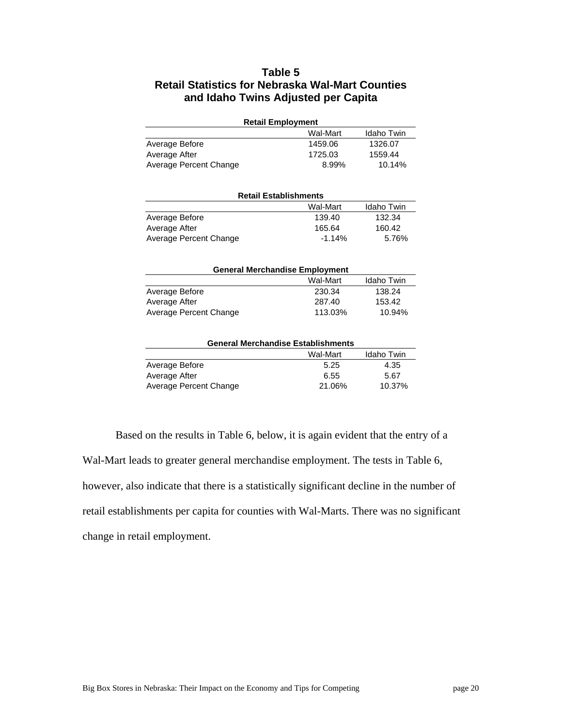### **Table 5 Retail Statistics for Nebraska Wal-Mart Counties and Idaho Twins Adjusted per Capita**

| <b>Retail Employment</b> |         |         |  |  |  |
|--------------------------|---------|---------|--|--|--|
| Wal-Mart<br>Idaho Twin   |         |         |  |  |  |
| Average Before           | 1459.06 | 1326.07 |  |  |  |
| Average After            | 1725.03 | 1559.44 |  |  |  |
| Average Percent Change   | 8.99%   | 10.14%  |  |  |  |

| <b>Retail Establishments</b> |          |            |  |
|------------------------------|----------|------------|--|
|                              | Wal-Mart | Idaho Twin |  |
| Average Before               | 139.40   | 132.34     |  |
| Average After                | 165.64   | 160.42     |  |
| Average Percent Change       | $-1.14%$ | 5.76%      |  |

| <b>General Merchandise Employment</b> |          |            |  |
|---------------------------------------|----------|------------|--|
|                                       | Wal-Mart | Idaho Twin |  |
| Average Before                        | 230.34   | 138.24     |  |
| Average After                         | 287.40   | 153.42     |  |
| Average Percent Change                | 113.03%  | 10.94%     |  |

| <b>General Merchandise Establishments</b> |          |            |  |  |
|-------------------------------------------|----------|------------|--|--|
|                                           | Wal-Mart | Idaho Twin |  |  |
| Average Before                            | 5.25     | 4.35       |  |  |
| Average After                             | 6.55     | 5.67       |  |  |
| Average Percent Change                    | 21.06%   | 10.37%     |  |  |

Based on the results in Table 6, below, it is again evident that the entry of a Wal-Mart leads to greater general merchandise employment. The tests in Table 6, however, also indicate that there is a statistically significant decline in the number of retail establishments per capita for counties with Wal-Marts. There was no significant change in retail employment.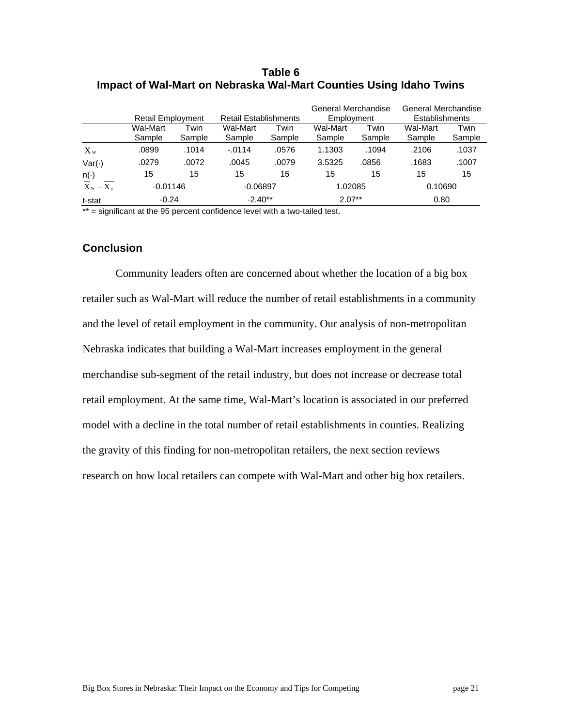#### **Table 6 Impact of Wal-Mart on Nebraska Wal-Mart Counties Using Idaho Twins**

|                | <b>Retail Employment</b> |                | <b>Retail Establishments</b> |                | General Merchandise<br>Employment |                | General Merchandise<br><b>Establishments</b> |                |
|----------------|--------------------------|----------------|------------------------------|----------------|-----------------------------------|----------------|----------------------------------------------|----------------|
|                | Wal-Mart<br>Sample       | Twin<br>Sample | Wal-Mart<br>Sample           | Twin<br>Sample | Wal-Mart<br>Sample                | Twin<br>Sample | Wal-Mart<br>Sample                           | Twin<br>Sample |
| $X_{w}$        | .0899                    | .1014          | $-0114$                      | .0576          | 1.1303                            | .1094          | .2106                                        | .1037          |
| $Var(\cdot)$   | .0279                    | .0072          | .0045                        | .0079          | 3.5325                            | .0856          | .1683                                        | .1007          |
| $n(\cdot)$     | 15                       | 15             | 15                           | 15             | 15                                | 15             | 15                                           | 15             |
| $X_w - X_\tau$ | $-0.01146$               |                | $-0.06897$                   |                | 1.02085                           |                | 0.10690                                      |                |
| t-stat         | $-0.24$                  |                | $-2.40**$                    |                | $2.07**$                          |                | 0.80                                         |                |

\*\* = significant at the 95 percent confidence level with a two-tailed test.

#### **Conclusion**

Community leaders often are concerned about whether the location of a big box retailer such as Wal-Mart will reduce the number of retail establishments in a community and the level of retail employment in the community. Our analysis of non-metropolitan Nebraska indicates that building a Wal-Mart increases employment in the general merchandise sub-segment of the retail industry, but does not increase or decrease total retail employment. At the same time, Wal-Mart's location is associated in our preferred model with a decline in the total number of retail establishments in counties. Realizing the gravity of this finding for non-metropolitan retailers, the next section reviews research on how local retailers can compete with Wal-Mart and other big box retailers.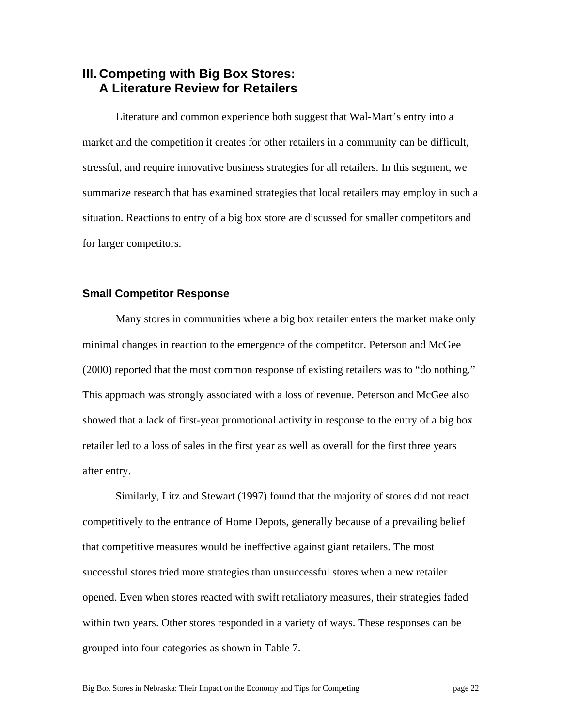# **III. Competing with Big Box Stores: A Literature Review for Retailers**

Literature and common experience both suggest that Wal-Mart's entry into a market and the competition it creates for other retailers in a community can be difficult, stressful, and require innovative business strategies for all retailers. In this segment, we summarize research that has examined strategies that local retailers may employ in such a situation. Reactions to entry of a big box store are discussed for smaller competitors and for larger competitors.

#### **Small Competitor Response**

Many stores in communities where a big box retailer enters the market make only minimal changes in reaction to the emergence of the competitor. Peterson and McGee (2000) reported that the most common response of existing retailers was to "do nothing." This approach was strongly associated with a loss of revenue. Peterson and McGee also showed that a lack of first-year promotional activity in response to the entry of a big box retailer led to a loss of sales in the first year as well as overall for the first three years after entry.

Similarly, Litz and Stewart (1997) found that the majority of stores did not react competitively to the entrance of Home Depots, generally because of a prevailing belief that competitive measures would be ineffective against giant retailers. The most successful stores tried more strategies than unsuccessful stores when a new retailer opened. Even when stores reacted with swift retaliatory measures, their strategies faded within two years. Other stores responded in a variety of ways. These responses can be grouped into four categories as shown in Table 7.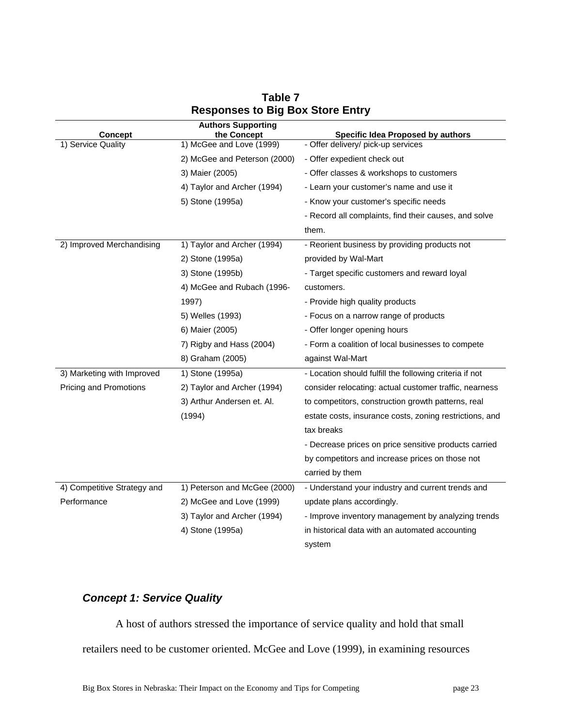| <b>Concept</b>              | <b>Authors Supporting</b><br>the Concept | <b>Specific Idea Proposed by authors</b>                |
|-----------------------------|------------------------------------------|---------------------------------------------------------|
| 1) Service Quality          | 1) McGee and Love (1999)                 | - Offer delivery/ pick-up services                      |
|                             | 2) McGee and Peterson (2000)             | - Offer expedient check out                             |
|                             | 3) Maier (2005)                          | - Offer classes & workshops to customers                |
|                             | 4) Taylor and Archer (1994)              | - Learn your customer's name and use it                 |
|                             | 5) Stone (1995a)                         | - Know your customer's specific needs                   |
|                             |                                          | - Record all complaints, find their causes, and solve   |
|                             |                                          | them.                                                   |
| 2) Improved Merchandising   | 1) Taylor and Archer (1994)              | - Reorient business by providing products not           |
|                             | 2) Stone (1995a)                         | provided by Wal-Mart                                    |
|                             | 3) Stone (1995b)                         | - Target specific customers and reward loyal            |
|                             | 4) McGee and Rubach (1996-               | customers.                                              |
|                             | 1997)                                    | - Provide high quality products                         |
|                             | 5) Welles (1993)                         | - Focus on a narrow range of products                   |
|                             | 6) Maier (2005)                          | - Offer longer opening hours                            |
|                             | 7) Rigby and Hass (2004)                 | - Form a coalition of local businesses to compete       |
|                             | 8) Graham (2005)                         | against Wal-Mart                                        |
| 3) Marketing with Improved  | 1) Stone (1995a)                         | - Location should fulfill the following criteria if not |
| Pricing and Promotions      | 2) Taylor and Archer (1994)              | consider relocating: actual customer traffic, nearness  |
|                             | 3) Arthur Andersen et. Al.               | to competitors, construction growth patterns, real      |
|                             | (1994)                                   | estate costs, insurance costs, zoning restrictions, and |
|                             |                                          | tax breaks                                              |
|                             |                                          | - Decrease prices on price sensitive products carried   |
|                             |                                          | by competitors and increase prices on those not         |
|                             |                                          | carried by them                                         |
| 4) Competitive Strategy and | 1) Peterson and McGee (2000)             | - Understand your industry and current trends and       |
| Performance                 | 2) McGee and Love (1999)                 | update plans accordingly.                               |
|                             | 3) Taylor and Archer (1994)              | - Improve inventory management by analyzing trends      |
|                             | 4) Stone (1995a)                         | in historical data with an automated accounting         |
|                             |                                          | system                                                  |

## **Table 7 Responses to Big Box Store Entry**

# *Concept 1: Service Quality*

A host of authors stressed the importance of service quality and hold that small retailers need to be customer oriented. McGee and Love (1999), in examining resources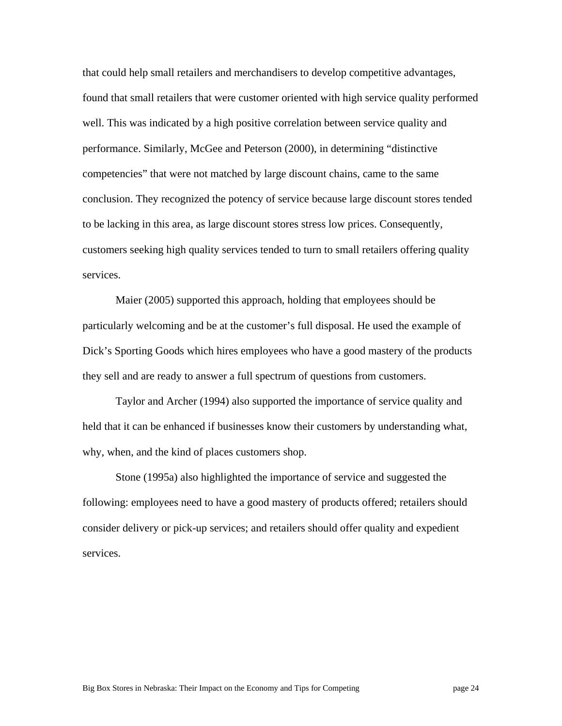that could help small retailers and merchandisers to develop competitive advantages, found that small retailers that were customer oriented with high service quality performed well. This was indicated by a high positive correlation between service quality and performance. Similarly, McGee and Peterson (2000), in determining "distinctive competencies" that were not matched by large discount chains, came to the same conclusion. They recognized the potency of service because large discount stores tended to be lacking in this area, as large discount stores stress low prices. Consequently, customers seeking high quality services tended to turn to small retailers offering quality services.

Maier (2005) supported this approach, holding that employees should be particularly welcoming and be at the customer's full disposal. He used the example of Dick's Sporting Goods which hires employees who have a good mastery of the products they sell and are ready to answer a full spectrum of questions from customers.

Taylor and Archer (1994) also supported the importance of service quality and held that it can be enhanced if businesses know their customers by understanding what, why, when, and the kind of places customers shop.

Stone (1995a) also highlighted the importance of service and suggested the following: employees need to have a good mastery of products offered; retailers should consider delivery or pick-up services; and retailers should offer quality and expedient services.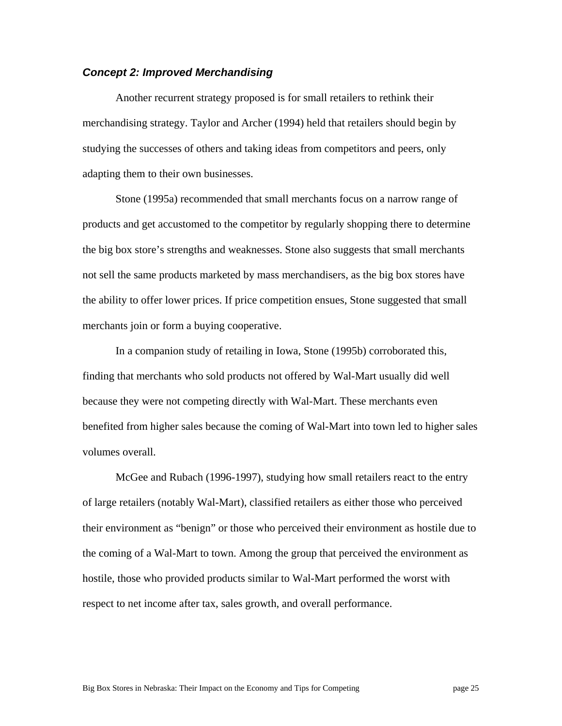#### *Concept 2: Improved Merchandising*

Another recurrent strategy proposed is for small retailers to rethink their merchandising strategy. Taylor and Archer (1994) held that retailers should begin by studying the successes of others and taking ideas from competitors and peers, only adapting them to their own businesses.

Stone (1995a) recommended that small merchants focus on a narrow range of products and get accustomed to the competitor by regularly shopping there to determine the big box store's strengths and weaknesses. Stone also suggests that small merchants not sell the same products marketed by mass merchandisers, as the big box stores have the ability to offer lower prices. If price competition ensues, Stone suggested that small merchants join or form a buying cooperative.

In a companion study of retailing in Iowa, Stone (1995b) corroborated this, finding that merchants who sold products not offered by Wal-Mart usually did well because they were not competing directly with Wal-Mart. These merchants even benefited from higher sales because the coming of Wal-Mart into town led to higher sales volumes overall.

McGee and Rubach (1996-1997), studying how small retailers react to the entry of large retailers (notably Wal-Mart), classified retailers as either those who perceived their environment as "benign" or those who perceived their environment as hostile due to the coming of a Wal-Mart to town. Among the group that perceived the environment as hostile, those who provided products similar to Wal-Mart performed the worst with respect to net income after tax, sales growth, and overall performance.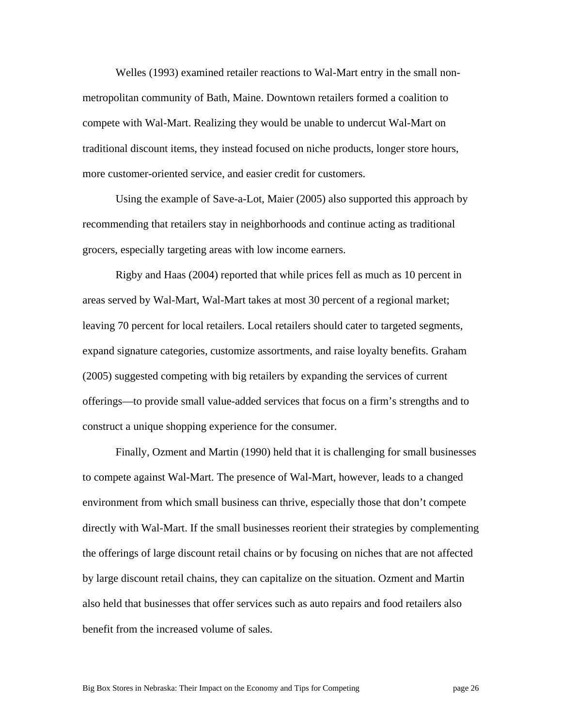Welles (1993) examined retailer reactions to Wal-Mart entry in the small nonmetropolitan community of Bath, Maine. Downtown retailers formed a coalition to compete with Wal-Mart. Realizing they would be unable to undercut Wal-Mart on traditional discount items, they instead focused on niche products, longer store hours, more customer-oriented service, and easier credit for customers.

Using the example of Save-a-Lot, Maier (2005) also supported this approach by recommending that retailers stay in neighborhoods and continue acting as traditional grocers, especially targeting areas with low income earners.

Rigby and Haas (2004) reported that while prices fell as much as 10 percent in areas served by Wal-Mart, Wal-Mart takes at most 30 percent of a regional market; leaving 70 percent for local retailers. Local retailers should cater to targeted segments, expand signature categories, customize assortments, and raise loyalty benefits. Graham (2005) suggested competing with big retailers by expanding the services of current offerings—to provide small value-added services that focus on a firm's strengths and to construct a unique shopping experience for the consumer.

Finally, Ozment and Martin (1990) held that it is challenging for small businesses to compete against Wal-Mart. The presence of Wal-Mart, however, leads to a changed environment from which small business can thrive, especially those that don't compete directly with Wal-Mart. If the small businesses reorient their strategies by complementing the offerings of large discount retail chains or by focusing on niches that are not affected by large discount retail chains, they can capitalize on the situation. Ozment and Martin also held that businesses that offer services such as auto repairs and food retailers also benefit from the increased volume of sales.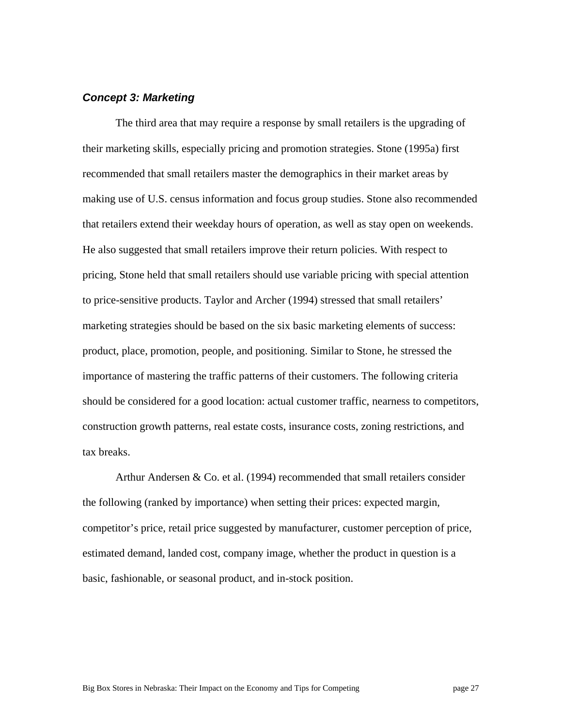#### *Concept 3: Marketing*

The third area that may require a response by small retailers is the upgrading of their marketing skills, especially pricing and promotion strategies. Stone (1995a) first recommended that small retailers master the demographics in their market areas by making use of U.S. census information and focus group studies. Stone also recommended that retailers extend their weekday hours of operation, as well as stay open on weekends. He also suggested that small retailers improve their return policies. With respect to pricing, Stone held that small retailers should use variable pricing with special attention to price-sensitive products. Taylor and Archer (1994) stressed that small retailers' marketing strategies should be based on the six basic marketing elements of success: product, place, promotion, people, and positioning. Similar to Stone, he stressed the importance of mastering the traffic patterns of their customers. The following criteria should be considered for a good location: actual customer traffic, nearness to competitors, construction growth patterns, real estate costs, insurance costs, zoning restrictions, and tax breaks.

Arthur Andersen & Co. et al. (1994) recommended that small retailers consider the following (ranked by importance) when setting their prices: expected margin, competitor's price, retail price suggested by manufacturer, customer perception of price, estimated demand, landed cost, company image, whether the product in question is a basic, fashionable, or seasonal product, and in-stock position.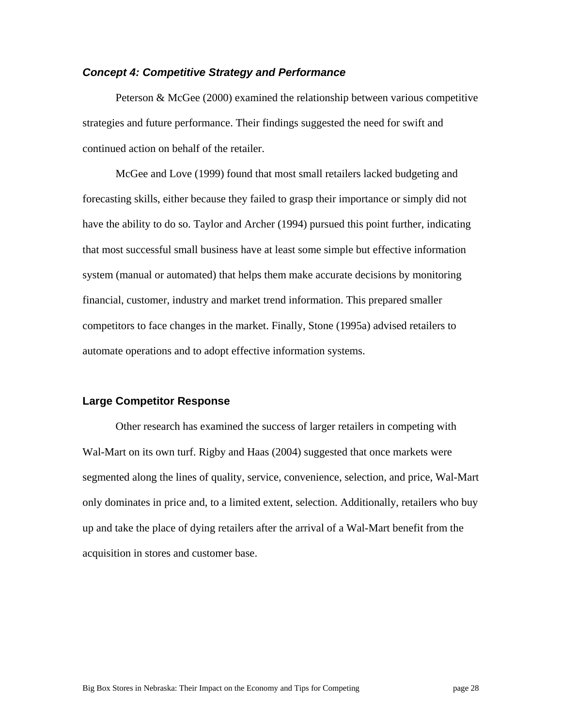#### *Concept 4: Competitive Strategy and Performance*

Peterson & McGee (2000) examined the relationship between various competitive strategies and future performance. Their findings suggested the need for swift and continued action on behalf of the retailer.

McGee and Love (1999) found that most small retailers lacked budgeting and forecasting skills, either because they failed to grasp their importance or simply did not have the ability to do so. Taylor and Archer (1994) pursued this point further, indicating that most successful small business have at least some simple but effective information system (manual or automated) that helps them make accurate decisions by monitoring financial, customer, industry and market trend information. This prepared smaller competitors to face changes in the market. Finally, Stone (1995a) advised retailers to automate operations and to adopt effective information systems.

#### **Large Competitor Response**

Other research has examined the success of larger retailers in competing with Wal-Mart on its own turf. Rigby and Haas (2004) suggested that once markets were segmented along the lines of quality, service, convenience, selection, and price, Wal-Mart only dominates in price and, to a limited extent, selection. Additionally, retailers who buy up and take the place of dying retailers after the arrival of a Wal-Mart benefit from the acquisition in stores and customer base.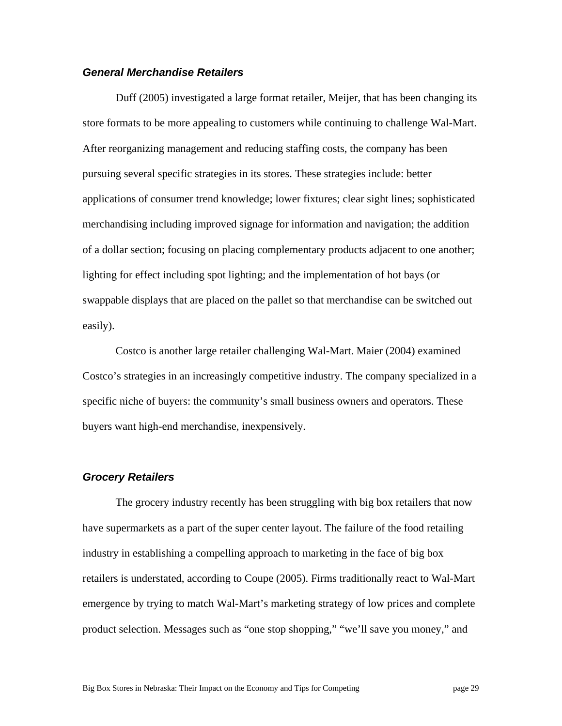#### *General Merchandise Retailers*

Duff (2005) investigated a large format retailer, Meijer, that has been changing its store formats to be more appealing to customers while continuing to challenge Wal-Mart. After reorganizing management and reducing staffing costs, the company has been pursuing several specific strategies in its stores. These strategies include: better applications of consumer trend knowledge; lower fixtures; clear sight lines; sophisticated merchandising including improved signage for information and navigation; the addition of a dollar section; focusing on placing complementary products adjacent to one another; lighting for effect including spot lighting; and the implementation of hot bays (or swappable displays that are placed on the pallet so that merchandise can be switched out easily).

Costco is another large retailer challenging Wal-Mart. Maier (2004) examined Costco's strategies in an increasingly competitive industry. The company specialized in a specific niche of buyers: the community's small business owners and operators. These buyers want high-end merchandise, inexpensively.

#### *Grocery Retailers*

The grocery industry recently has been struggling with big box retailers that now have supermarkets as a part of the super center layout. The failure of the food retailing industry in establishing a compelling approach to marketing in the face of big box retailers is understated, according to Coupe (2005). Firms traditionally react to Wal-Mart emergence by trying to match Wal-Mart's marketing strategy of low prices and complete product selection. Messages such as "one stop shopping," "we'll save you money," and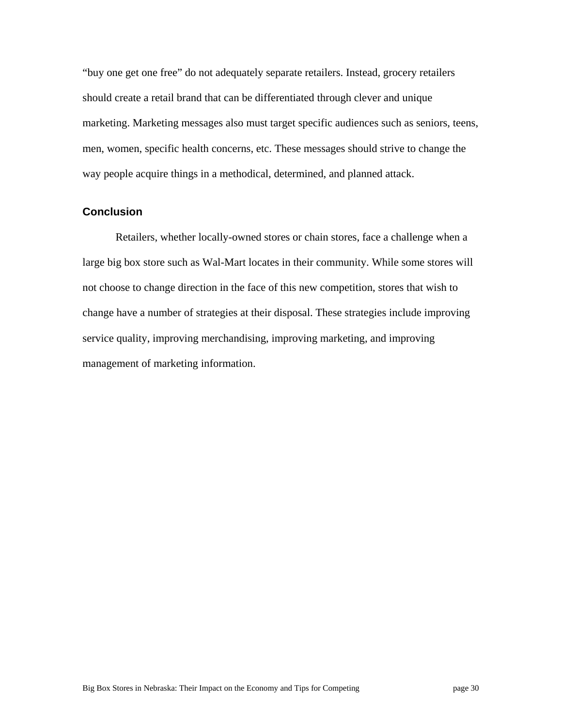"buy one get one free" do not adequately separate retailers. Instead, grocery retailers should create a retail brand that can be differentiated through clever and unique marketing. Marketing messages also must target specific audiences such as seniors, teens, men, women, specific health concerns, etc. These messages should strive to change the way people acquire things in a methodical, determined, and planned attack.

#### **Conclusion**

Retailers, whether locally-owned stores or chain stores, face a challenge when a large big box store such as Wal-Mart locates in their community. While some stores will not choose to change direction in the face of this new competition, stores that wish to change have a number of strategies at their disposal. These strategies include improving service quality, improving merchandising, improving marketing, and improving management of marketing information.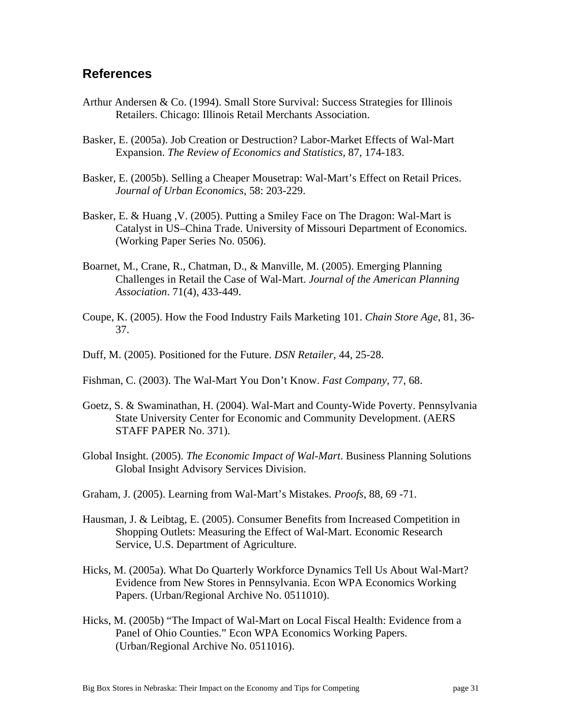# **References**

- Arthur Andersen & Co. (1994). Small Store Survival: Success Strategies for Illinois Retailers. Chicago: Illinois Retail Merchants Association.
- Basker, E. (2005a). Job Creation or Destruction? Labor-Market Effects of Wal-Mart Expansion. *The Review of Economics and Statistics,* 87, 174-183.
- Basker, E. (2005b). Selling a Cheaper Mousetrap: Wal-Mart's Effect on Retail Prices. *Journal of Urban Economics,* 58: 203-229.
- Basker, E. & Huang ,V. (2005). Putting a Smiley Face on The Dragon: Wal-Mart is Catalyst in US–China Trade. University of Missouri Department of Economics. (Working Paper Series No. 0506).
- Boarnet, M., Crane, R., Chatman, D., & Manville, M. (2005). Emerging Planning Challenges in Retail the Case of Wal-Mart. *Journal of the American Planning Association*. 71(4), 433-449.
- Coupe, K. (2005). How the Food Industry Fails Marketing 101. *Chain Store Age*, 81, 36- 37.
- Duff, M. (2005). Positioned for the Future. *DSN Retailer*, 44, 25-28.
- Fishman, C. (2003). The Wal-Mart You Don't Know. *Fast Company,* 77, 68.
- Goetz, S. & Swaminathan, H. (2004). Wal-Mart and County-Wide Poverty. Pennsylvania State University Center for Economic and Community Development. (AERS STAFF PAPER No. 371).
- Global Insight. (2005). *The Economic Impact of Wal-Mart*. Business Planning Solutions Global Insight Advisory Services Division.
- Graham, J. (2005). Learning from Wal-Mart's Mistakes. *Proofs*, 88, 69 -71.
- Hausman, J. & Leibtag, E. (2005). Consumer Benefits from Increased Competition in Shopping Outlets: Measuring the Effect of Wal-Mart. Economic Research Service, U.S. Department of Agriculture.
- Hicks, M. (2005a). What Do Quarterly Workforce Dynamics Tell Us About Wal-Mart? Evidence from New Stores in Pennsylvania. Econ WPA Economics Working Papers. (Urban/Regional Archive No. 0511010).
- Hicks, M. (2005b) "The Impact of Wal-Mart on Local Fiscal Health: Evidence from a Panel of Ohio Counties." Econ WPA Economics Working Papers. (Urban/Regional Archive No. 0511016).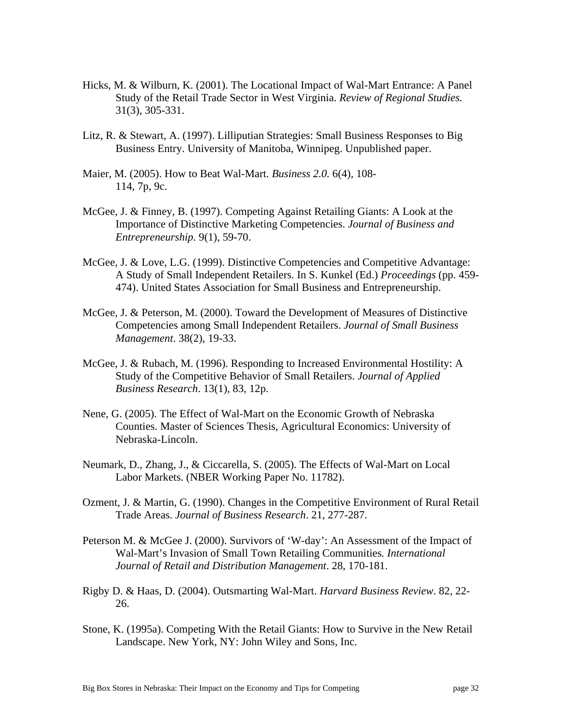- Hicks, M. & Wilburn, K. (2001). The Locational Impact of Wal-Mart Entrance: A Panel Study of the Retail Trade Sector in West Virginia. *Review of Regional Studies.* 31(3), 305-331.
- Litz, R. & Stewart, A. (1997). Lilliputian Strategies: Small Business Responses to Big Business Entry. University of Manitoba, Winnipeg. Unpublished paper.
- Maier, M. (2005). How to Beat Wal-Mart. *Business 2.0.* 6(4), 108- 114, 7p, 9c.
- McGee, J. & Finney, B. (1997). Competing Against Retailing Giants: A Look at the Importance of Distinctive Marketing Competencies. *Journal of Business and Entrepreneurship.* 9(1), 59-70.
- McGee, J. & Love, L.G. (1999). Distinctive Competencies and Competitive Advantage: A Study of Small Independent Retailers. In S. Kunkel (Ed.) *Proceedings* (pp. 459- 474). United States Association for Small Business and Entrepreneurship.
- McGee, J. & Peterson, M. (2000). Toward the Development of Measures of Distinctive Competencies among Small Independent Retailers. *Journal of Small Business Management*. 38(2), 19-33.
- McGee, J. & Rubach, M. (1996). Responding to Increased Environmental Hostility: A Study of the Competitive Behavior of Small Retailers. *Journal of Applied Business Research*. 13(1), 83, 12p.
- Nene, G. (2005). The Effect of Wal-Mart on the Economic Growth of Nebraska Counties. Master of Sciences Thesis, Agricultural Economics: University of Nebraska-Lincoln.
- Neumark, D., Zhang, J., & Ciccarella, S. (2005). The Effects of Wal-Mart on Local Labor Markets. (NBER Working Paper No. 11782).
- Ozment, J. & Martin, G. (1990). Changes in the Competitive Environment of Rural Retail Trade Areas. *Journal of Business Research*. 21, 277-287.
- Peterson M. & McGee J. (2000). Survivors of 'W-day': An Assessment of the Impact of Wal-Mart's Invasion of Small Town Retailing Communities*. International Journal of Retail and Distribution Management*. 28, 170-181.
- Rigby D. & Haas, D. (2004). Outsmarting Wal-Mart. *Harvard Business Review*. 82, 22- 26.
- Stone, K. (1995a). Competing With the Retail Giants: How to Survive in the New Retail Landscape. New York, NY: John Wiley and Sons, Inc.